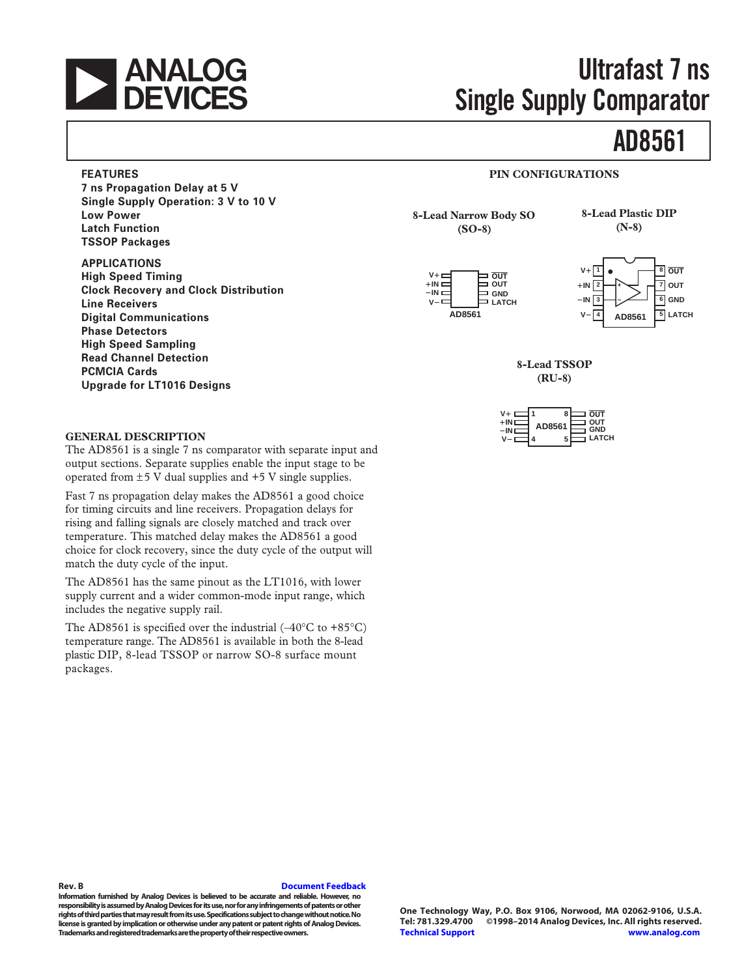

# **Ultrafast 7 ns Single Supply Comparator**

# **[AD8561](http://www.analog.com/AD8561?doc=AD8561.pdf)**

#### **FEATURES PIN CONFIGURATIONS**

**7 ns Propagation Delay at 5 V Single Supply Operation: 3 V to 10 V Low Power Latch Function TSSOP Packages**

**APPLICATIONS High Speed Timing Clock Recovery and Clock Distribution Line Receivers Digital Communications Phase Detectors High Speed Sampling Read Channel Detection PCMCIA Cards Upgrade for LT1016 Designs**

**8-Lead Narrow Body SO (SO-8)**

**8-Lead Plastic DIP (N-8)**





**8-Lead TSSOP (RU-8)**

| $V_{\tau}$  |        | OUT          |
|-------------|--------|--------------|
| +II<br>$-1$ | AD8561 | OUT<br>GND   |
|             |        | <b>LATCH</b> |

#### **GENERAL DESCRIPTION**

The AD8561 is a single 7 ns comparator with separate input and output sections. Separate supplies enable the input stage to be operated from  $\pm$  5 V dual supplies and  $+$  5 V single supplies.

Fast 7 ns propagation delay makes the AD8561 a good choice for timing circuits and line receivers. Propagation delays for rising and falling signals are closely matched and track over temperature. This matched delay makes the AD8561 a good choice for clock recovery, since the duty cycle of the output will match the duty cycle of the input.

The AD8561 has the same pinout as the LT1016, with lower supply current and a wider common-mode input range, which includes the negative supply rail.

The AD8561 is specified over the industrial  $(-40^{\circ}C \text{ to } +85^{\circ}C)$ temperature range. The AD8561 is available in both the 8-lead plastic DIP, 8-lead TSSOP or narrow SO-8 surface mount packages.

#### **Rev. B [Document Feedback](https://form.analog.com/Form_Pages/feedback/documentfeedback.aspx?doc=AD8561.pdf&product=AD8561&rev=A)**

**Information furnished by Analog Devices is believed to be accurate and reliable. However, no responsibility is assumed by Analog Devices for its use, nor for any infringements of patents or other rights of third parties that may result from its use. Specifications subject to change without notice. No license is granted by implication or otherwise under any patent or patent rights of Analog Devices. Trademarks and registered trademarks are the property of their respective owners.**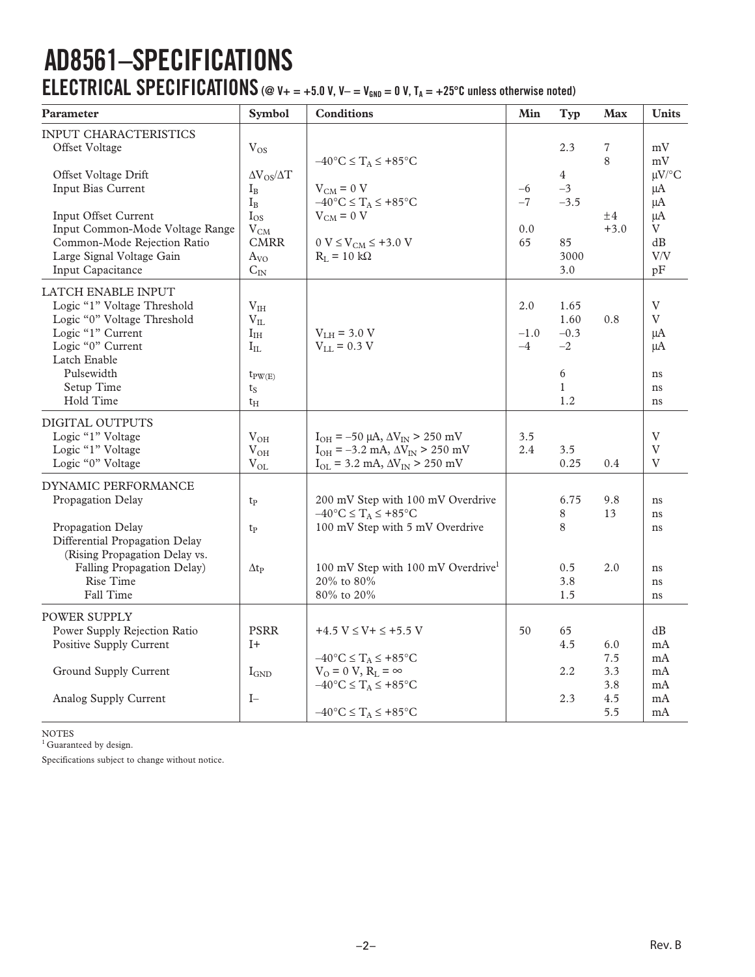# **AD8561–SPECIFICATIONS ELECTRICAL SPECIFICATIONS** ( $@$  V + = +5.0 V, V - = V<sub>GND</sub> = 0 V, T<sub>A</sub> = +25<sup>o</sup>C unless otherwise noted)

| Parameter                                                                                                                                  | Symbol                                                                   | <b>Conditions</b>                                                                                                                                 | Min                   | <b>Typ</b>                       | <b>Max</b>   | <b>Units</b>                                                          |
|--------------------------------------------------------------------------------------------------------------------------------------------|--------------------------------------------------------------------------|---------------------------------------------------------------------------------------------------------------------------------------------------|-----------------------|----------------------------------|--------------|-----------------------------------------------------------------------|
| INPUT CHARACTERISTICS<br>Offset Voltage                                                                                                    | $V_{OS}$                                                                 | $-40^{\circ}C \leq T_A \leq +85^{\circ}C$                                                                                                         |                       | 2.3                              | 7<br>8       | mV<br>mV                                                              |
| Offset Voltage Drift<br>Input Bias Current<br>Input Offset Current<br>Input Common-Mode Voltage Range                                      | $\Delta V_{OS}/\Delta T$<br>$I_{\rm B}$<br>$I_B$<br>$I_{OS}$<br>$V_{CM}$ | $V_{CM} = 0 V$<br>$-40^{\circ}$ C $\leq$ T <sub>A</sub> $\leq$ +85°C<br>$V_{CM} = 0 V$                                                            | $-6$<br>$-7$<br>0.0   | $\overline{4}$<br>$-3$<br>$-3.5$ | ±4<br>$+3.0$ | $\mu V$ /°C<br>$\mu A$<br>μA<br>μA<br>V                               |
| Common-Mode Rejection Ratio<br>Large Signal Voltage Gain<br>Input Capacitance                                                              | <b>CMRR</b><br>$A_{VQ}$<br>$C_{IN}$                                      | $0 V \le V_{CM} \le +3.0 V$<br>$R_L = 10 k\Omega$                                                                                                 | 65                    | 85<br>3000<br>3.0                |              | dB<br>V/V<br>pF                                                       |
| LATCH ENABLE INPUT<br>Logic "1" Voltage Threshold<br>Logic "0" Voltage Threshold<br>Logic "1" Current<br>Logic "0" Current<br>Latch Enable | $\rm V_{IH}$<br>$V_{IL}$<br>$I_{IH}$<br>$I_{\text{IL}}$                  | $VLH = 3.0 V$<br>$V_{LL} = 0.3 V$                                                                                                                 | 2.0<br>$-1.0$<br>$-4$ | 1.65<br>1.60<br>$-0.3$<br>$-2$   | 0.8          | $\ensuremath{\mathbf{V}}$<br>$\overline{V}$<br>μA<br>μA               |
| Pulsewidth<br>Setup Time<br>Hold Time                                                                                                      | $t_{PW(E)}$<br>$t_S$<br>$t_{\rm H}$                                      |                                                                                                                                                   |                       | 6<br>$\mathbf{1}$<br>1.2         |              | ns<br>ns<br>ns                                                        |
| DIGITAL OUTPUTS<br>Logic "1" Voltage<br>Logic "1" Voltage<br>Logic "0" Voltage                                                             | $V_{OH}$<br>$V_{OH}$<br>$V_{OL}$                                         | $I_{OH} = -50 \mu A$ , $\Delta V_{IN} > 250 \mu V$<br>$I_{OH} = -3.2$ mA, $\Delta V_{IN} > 250$ mV<br>$I_{OL}$ = 3.2 mA, $\Delta V_{IN}$ > 250 mV | 3.5<br>2.4            | 3.5<br>0.25                      | 0.4          | $\ensuremath{\mathbf{V}}$<br>$\mathbf V$<br>$\boldsymbol{\mathrm{V}}$ |
| DYNAMIC PERFORMANCE<br>Propagation Delay                                                                                                   | t <sub>p</sub>                                                           | 200 mV Step with 100 mV Overdrive<br>$-40^{\circ}C \leq T_A \leq +85^{\circ}C$                                                                    |                       | 6.75<br>8                        | 9.8<br>13    | ns<br>ns                                                              |
| Propagation Delay<br>Differential Propagation Delay<br>(Rising Propagation Delay vs.                                                       | t <sub>p</sub>                                                           | 100 mV Step with 5 mV Overdrive                                                                                                                   |                       | 8                                |              | ns                                                                    |
| Falling Propagation Delay)<br>Rise Time<br>Fall Time                                                                                       | $\Delta t_{\rm P}$                                                       | 100 mV Step with 100 mV Overdrive <sup>1</sup><br>20% to 80%<br>80% to 20%                                                                        |                       | 0.5<br>3.8<br>1.5                | 2.0          | ns<br>ns<br>ns                                                        |
| POWER SUPPLY<br>Power Supply Rejection Ratio<br>Positive Supply Current                                                                    | <b>PSRR</b><br>$I+$                                                      | $+4.5 V \le V + \le +5.5 V$<br>$-40^{\circ}C \leq T_A \leq +85^{\circ}C$                                                                          | 50                    | 65<br>4.5                        | 6.0<br>7.5   | dB<br>mA<br>mA                                                        |
| Ground Supply Current                                                                                                                      | $I_{GND}$                                                                | $V_0 = 0 V$ , $R_L = \infty$<br>$-40^{\circ}$ C $\leq$ $T_A \leq +85^{\circ}$ C                                                                   |                       | 2.2                              | 3.3<br>3.8   | mA<br>mA                                                              |
| Analog Supply Current                                                                                                                      | $I-$                                                                     | $-40^{\circ}$ C $\leq T_A \leq +85^{\circ}$ C                                                                                                     |                       | 2.3                              | 4.5<br>5.5   | mA<br>mA                                                              |

NOTES

<sup>1</sup> Guaranteed by design.

Specifications subject to change without notice.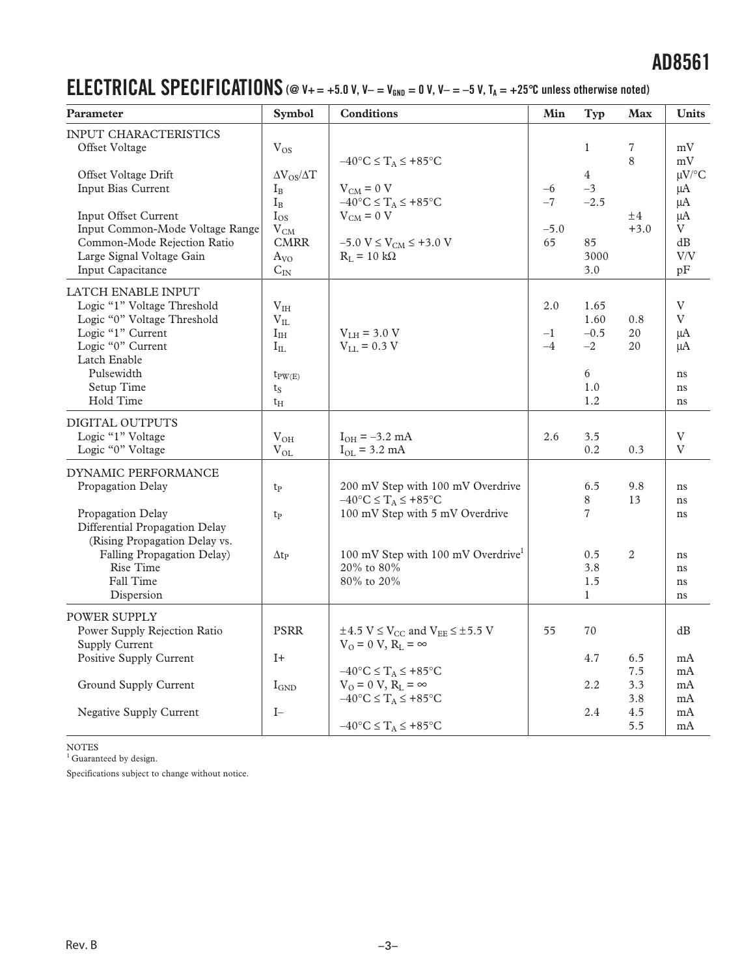### **ELECTRICAL SPECIFICATIONS** (@  $V_+=+5.0$  V,  $V_-=V_{\text{GND}}=0$  V,  $V_-=-5$  V,  $T_A=+25^{\circ}$ C unless otherwise noted)

| Parameter                                                                                                                                                                                                                         | Symbol                                                                                                                  | <b>Conditions</b>                                                                                                                                                                                                                                                                                  | Min                          | Typ                                                             | <b>Max</b>                             | <b>Units</b>                                                           |
|-----------------------------------------------------------------------------------------------------------------------------------------------------------------------------------------------------------------------------------|-------------------------------------------------------------------------------------------------------------------------|----------------------------------------------------------------------------------------------------------------------------------------------------------------------------------------------------------------------------------------------------------------------------------------------------|------------------------------|-----------------------------------------------------------------|----------------------------------------|------------------------------------------------------------------------|
| INPUT CHARACTERISTICS<br>Offset Voltage<br>Offset Voltage Drift<br>Input Bias Current<br>Input Offset Current<br>Input Common-Mode Voltage Range<br>Common-Mode Rejection Ratio<br>Large Signal Voltage Gain<br>Input Capacitance | $V_{OS}$<br>$\Delta V_{OS}/\Delta T$<br>$I_B$<br>$I_{B}$<br>$I_{OS}$<br>$V_{CM}$<br><b>CMRR</b><br>$A_{VO}$<br>$C_{IN}$ | $-40^{\circ}C \leq T_A \leq +85^{\circ}C$<br>$V_{CM} = 0 V$<br>$-40^{\circ}C \leq T_A \leq +85^{\circ}C$<br>$V_{CM} = 0 V$<br>$-5.0 V \le V_{CM} \le +3.0 V$<br>$R_L = 10 k\Omega$                                                                                                                 | $-6$<br>$-7$<br>$-5.0$<br>65 | 1<br>$\overline{4}$<br>$-3$<br>$-2.5$<br>85<br>3000<br>3.0      | 7<br>8<br>±4<br>$+3.0$                 | mV<br>mV<br>$\mu V$ /°C<br>$\mu A$<br>μA<br>μA<br>V<br>dB<br>V/V<br>pF |
| LATCH ENABLE INPUT<br>Logic "1" Voltage Threshold<br>Logic "0" Voltage Threshold<br>Logic "1" Current<br>Logic "0" Current<br>Latch Enable<br>Pulsewidth<br>Setup Time<br>Hold Time                                               | $\rm V_{IH}$<br>$V_{IL}$<br>$I_{IH}$<br>$I_{IL}$<br>$t_{PW(E)}$<br>$t_S$<br>$t_{\rm H}$                                 | $V_{LH}$ = 3.0 V<br>$V_{LL} = 0.3 V$                                                                                                                                                                                                                                                               | 2.0<br>$-1$<br>$-4$          | 1.65<br>1.60<br>$-0.5$<br>$-2$<br>6<br>1.0<br>1.2               | 0.8<br>20<br>20                        | V<br>V<br>μA<br>μA<br>ns<br>ns<br>ns                                   |
| DIGITAL OUTPUTS<br>Logic "1" Voltage<br>Logic "0" Voltage                                                                                                                                                                         | $\rm V_{OH}$<br>$V_{OL}$                                                                                                | $I_{OH} = -3.2$ mA<br>$I_{OL} = 3.2$ mA                                                                                                                                                                                                                                                            | 2.6                          | 3.5<br>0.2                                                      | 0.3                                    | V<br>V                                                                 |
| DYNAMIC PERFORMANCE<br>Propagation Delay<br>Propagation Delay<br>Differential Propagation Delay<br>(Rising Propagation Delay vs.<br>Falling Propagation Delay)<br>Rise Time<br>Fall Time<br>Dispersion                            | $t_{P}$<br>$t_{P}$<br>$\Delta t_{\rm P}$                                                                                | 200 mV Step with 100 mV Overdrive<br>$-40^{\circ}$ C $\leq T_A \leq +85^{\circ}$ C<br>100 mV Step with 5 mV Overdrive<br>100 mV Step with 100 mV Overdrive<br>20% to 80%<br>80% to 20%                                                                                                             |                              | 6.5<br>8<br>$\overline{7}$<br>0.5<br>3.8<br>1.5<br>$\mathbf{1}$ | 9.8<br>13<br>$\mathbf{2}$              | ns<br>ns<br>ns<br>ns<br>ns<br>ns<br>ns                                 |
| <b>POWER SUPPLY</b><br>Power Supply Rejection Ratio<br><b>Supply Current</b><br>Positive Supply Current<br>Ground Supply Current<br><b>Negative Supply Current</b>                                                                | <b>PSRR</b><br>$I+$<br>$I_{\text{GND}}$<br>$I-$                                                                         | $\pm 4.5~\mathrm{V} \leq \mathrm{V_{CC}}$ and $\mathrm{V_{EE}} \leq \pm 5.5~\mathrm{V}$<br>$V_0 = 0 V$ , $R_L = \infty$<br>$-40^{\circ}$ C $\leq T_A \leq +85^{\circ}$ C<br>$V_0 = 0 V$ , $R_L = \infty$<br>$-40^{\circ}C \leq T_A \leq +85^{\circ}C$<br>$-40^{\circ}C \leq T_A \leq +85^{\circ}C$ | 55                           | 70<br>4.7<br>2.2<br>2.4                                         | 6.5<br>7.5<br>3.3<br>3.8<br>4.5<br>5.5 | dB<br>mA<br>mA<br>mA<br>mA<br>mA<br>mA                                 |

NOTES<br><sup>1</sup> Guaranteed by design.

Specifications subject to change without notice.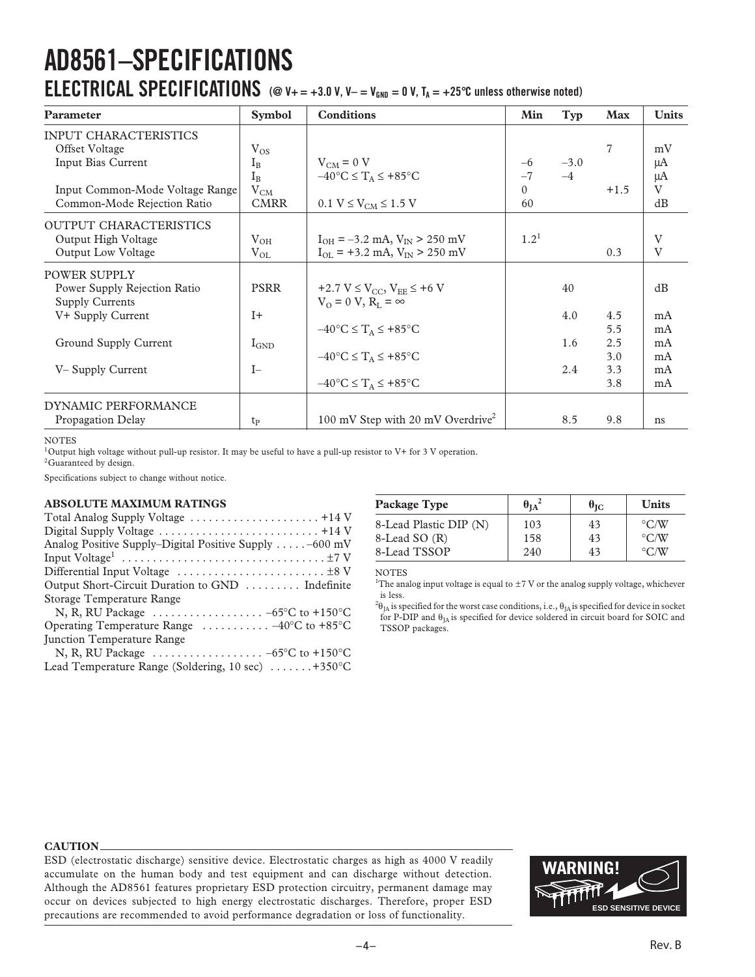# **AD8561–SPECIFICATIONS**

### **ELECTRICAL SPECIFICATIONS** ( $@$  V+ = +3.0 V, V- = V<sub>GND</sub> = 0 V, T<sub>A</sub> = +25<sup>o</sup>C unless otherwise noted)

| Parameter                                                                                                                              | <b>Symbol</b>                                             | <b>Conditions</b>                                                                                 | Min                            | Typ            | <b>Max</b>                      | <b>Units</b>                         |
|----------------------------------------------------------------------------------------------------------------------------------------|-----------------------------------------------------------|---------------------------------------------------------------------------------------------------|--------------------------------|----------------|---------------------------------|--------------------------------------|
| <b>INPUT CHARACTERISTICS</b><br>Offset Voltage<br>Input Bias Current<br>Input Common-Mode Voltage Range<br>Common-Mode Rejection Ratio | $V_{OS}$<br>$I_{R}$<br>$I_{B}$<br>$V_{CM}$<br><b>CMRR</b> | $V_{CM} = 0 V$<br>$-40^{\circ}$ C $\leq$ $T_A \leq +85^{\circ}$ C<br>$0.1 V \le V_{CM} \le 1.5 V$ | $-6$<br>$-7$<br>$\Omega$<br>60 | $-3.0$<br>$-4$ | 7<br>$+1.5$                     | mV<br>μA<br>μA<br>$\mathbf{V}$<br>dB |
| <b>OUTPUT CHARACTERISTICS</b><br>Output High Voltage<br><b>Output Low Voltage</b>                                                      | $V_{OH}$<br>$V_{OL}$                                      | $I_{OH} = -3.2$ mA, $V_{IN} > 250$ mV<br>$I_{OL}$ = +3.2 mA, $V_{IN}$ > 250 mV                    | $1.2^{1}$                      |                | 0.3                             | V<br>V                               |
| <b>POWER SUPPLY</b><br>Power Supply Rejection Ratio<br><b>Supply Currents</b>                                                          | <b>PSRR</b><br>$I+$                                       | +2.7 V $\leq$ V <sub>CC</sub> , V <sub>EE</sub> $\leq$ +6 V<br>$V_0 = 0 V$ , $R_r = \infty$       |                                | 40<br>4.0      |                                 | dB<br>mA                             |
| V+ Supply Current<br>Ground Supply Current<br>V-Supply Current                                                                         | $I_{\text{GND}}$<br>$I-$                                  | $-40^{\circ}C \leq T_A \leq +85^{\circ}C$<br>$-40^{\circ}$ C $\leq$ $T_A \leq +85^{\circ}$ C      |                                | 1.6<br>2.4     | 4.5<br>5.5<br>2.5<br>3.0<br>3.3 | mA<br>mA<br>mA<br>mA                 |
| <b>DYNAMIC PERFORMANCE</b><br>Propagation Delay                                                                                        | tp                                                        | $-40^{\circ}C \leq T_A \leq +85^{\circ}C$<br>100 mV Step with 20 mV Overdrive <sup>2</sup>        |                                | 8.5            | 3.8<br>9.8                      | mA<br>ns                             |

#### **NOTES**

<sup>1</sup>Output high voltage without pull-up resistor. It may be useful to have a pull-up resistor to V+ for 3 V operation.

<sup>2</sup>Guaranteed by design.

Specifications subject to change without notice.

#### **ABSOLUTE MAXIMUM RATINGS**

| Analog Positive Supply-Digital Positive Supply $\dots$ . $-600$ mV     |  |
|------------------------------------------------------------------------|--|
|                                                                        |  |
|                                                                        |  |
| Output Short-Circuit Duration to GND  Indefinite                       |  |
| Storage Temperature Range                                              |  |
| N, R, RU Package $\ldots \ldots \ldots \ldots \ldots -65$ °C to +150°C |  |
| Operating Temperature Range $\ldots \ldots \ldots -40$ °C to +85°C     |  |
| <b>Iunction Temperature Range</b>                                      |  |
| N, R, RU Package $\ldots \ldots \ldots \ldots \ldots -65$ °C to +150°C |  |
| Lead Temperature Range (Soldering, 10 sec) $\dots \dots +350^{\circ}C$ |  |
|                                                                        |  |

| Package Type           | $\theta_{IA}^2$ | $\theta_{\rm IC}$ | <b>Units</b>       |
|------------------------|-----------------|-------------------|--------------------|
| 8-Lead Plastic DIP (N) | 103             | 43                | $\rm ^{\circ}$ C/W |
| 8-Lead SO (R)          | 158             | 43                | $\rm ^{\circ}$ C/W |
| 8-Lead TSSOP           | 240             | 43                | $\rm ^{\circ}$ C/W |

NOTES

<sup>1</sup>The analog input voltage is equal to  $\pm$  7 V or the analog supply voltage, whichever is less.

 $^{2}\theta_{\rm JA}$  is specified for the worst case conditions, i.e.,  $\theta_{\rm JA}$  is specified for device in socket for P-DIP and  $\theta_{JA}$  is specified for device soldered in circuit board for SOIC and TSSOP packages.

#### **CAUTION**

ESD (electrostatic discharge) sensitive device. Electrostatic charges as high as 4000 V readily accumulate on the human body and test equipment and can discharge without detection. Although the AD8561 features proprietary ESD protection circuitry, permanent damage may occur on devices subjected to high energy electrostatic discharges. Therefore, proper ESD precautions are recommended to avoid performance degradation or loss of functionality.

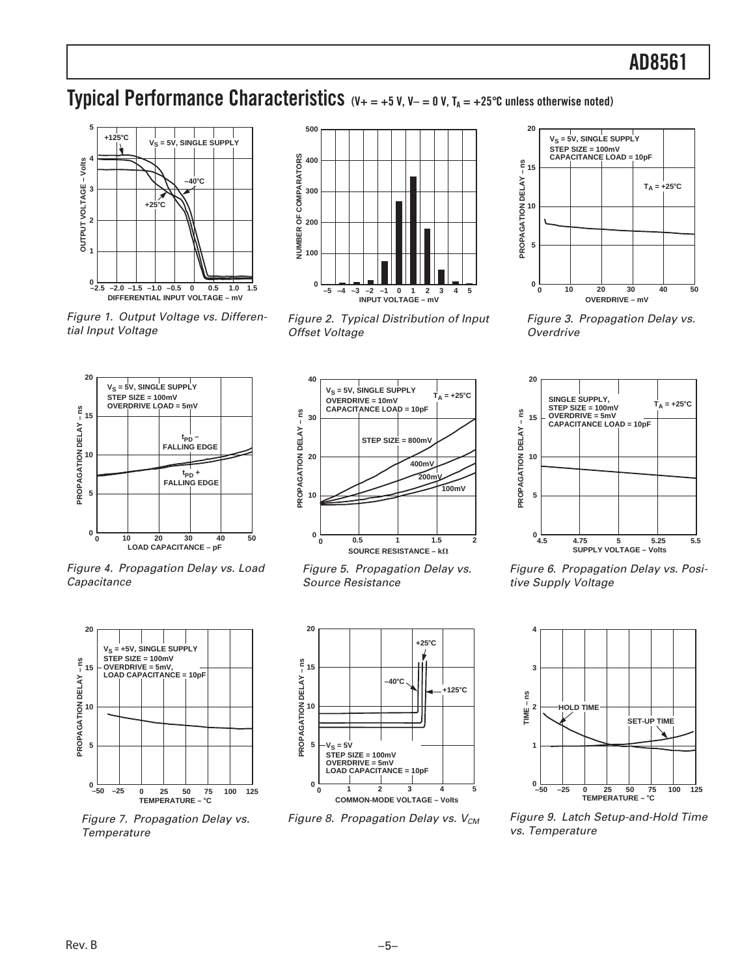### **Typical Performance Characteristics**  $(V_+ = +5 V, V_- = 0 V, T_A = +25°C$  unless otherwise noted)



Figure 1. Output Voltage vs. Differential Input Voltage



Figure 2. Typical Distribution of Input Offset Voltage



Figure 3. Propagation Delay vs. **Overdrive** 



Figure 4. Propagation Delay vs. Load **Capacitance** 



Figure 7. Propagation Delay vs. **Temperature** 



Figure 5. Propagation Delay vs. Source Resistance



Figure 8. Propagation Delay vs.  $V_{CM}$ 



Figure 6. Propagation Delay vs. Positive Supply Voltage



Figure 9. Latch Setup-and-Hold Time vs. Temperature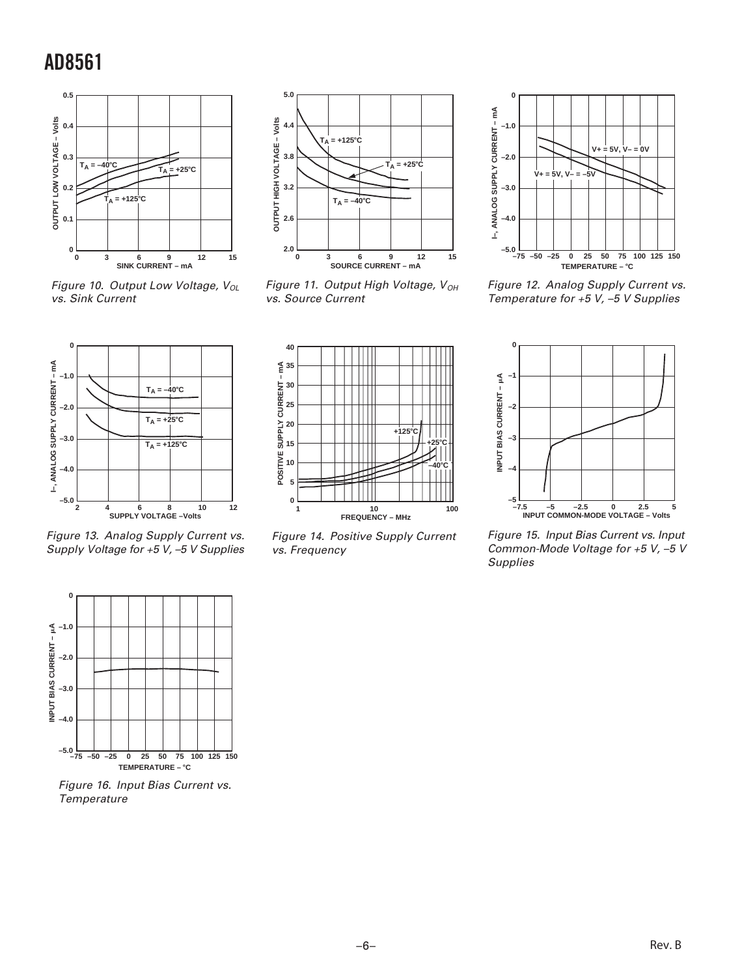

Figure 10. Output Low Voltage,  $V_{OL}$ vs. Sink Current



Figure 11. Output High Voltage,  $V_{OH}$ vs. Source Current



Figure 13. Analog Supply Current vs. Supply Voltage for +5 V, –5 V Supplies



Figure 14. Positive Supply Current vs. Frequency



Figure 12. Analog Supply Current vs. Temperature for +5 V, –5 V Supplies



Figure 15. Input Bias Current vs. Input Common-Mode Voltage for +5 V, –5 V **Supplies** 



Figure 16. Input Bias Current vs. **Temperature**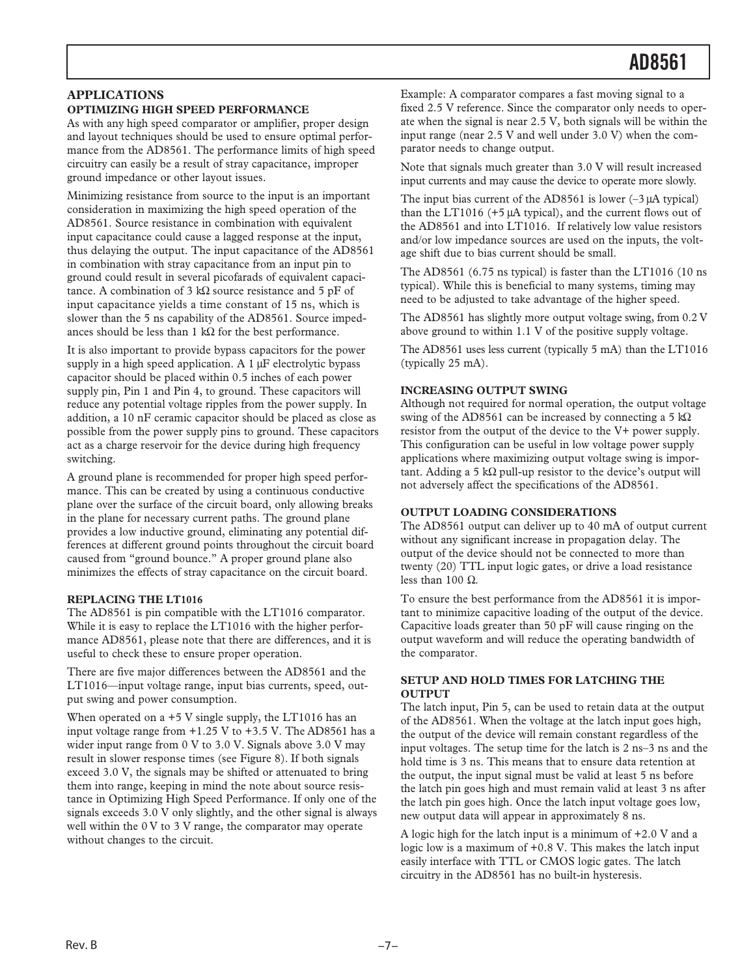#### **APPLICATIONS**

#### **OPTIMIZING HIGH SPEED PERFORMANCE**

As with any high speed comparator or amplifier, proper design and layout techniques should be used to ensure optimal performance from the AD8561. The performance limits of high speed circuitry can easily be a result of stray capacitance, improper ground impedance or other layout issues.

Minimizing resistance from source to the input is an important consideration in maximizing the high speed operation of the AD8561. Source resistance in combination with equivalent input capacitance could cause a lagged response at the input, thus delaying the output. The input capacitance of the AD8561 in combination with stray capacitance from an input pin to ground could result in several picofarads of equivalent capacitance. A combination of 3 kΩ source resistance and 5 pF of input capacitance yields a time constant of 15 ns, which is slower than the 5 ns capability of the AD8561. Source impedances should be less than 1 kΩ for the best performance.

It is also important to provide bypass capacitors for the power supply in a high speed application. A 1 μF electrolytic bypass capacitor should be placed within 0.5 inches of each power supply pin, Pin 1 and Pin 4, to ground. These capacitors will reduce any potential voltage ripples from the power supply. In addition, a 10 nF ceramic capacitor should be placed as close as possible from the power supply pins to ground. These capacitors act as a charge reservoir for the device during high frequency switching.

A ground plane is recommended for proper high speed performance. This can be created by using a continuous conductive plane over the surface of the circuit board, only allowing breaks in the plane for necessary current paths. The ground plane provides a low inductive ground, eliminating any potential differences at different ground points throughout the circuit board caused from "ground bounce." A proper ground plane also minimizes the effects of stray capacitance on the circuit board.

#### **REPLACING THE LT1016**

The AD8561 is pin compatible with the LT1016 comparator. While it is easy to replace the LT1016 with the higher performance AD8561, please note that there are differences, and it is useful to check these to ensure proper operation.

There are five major differences between the AD8561 and the LT1016—input voltage range, input bias currents, speed, output swing and power consumption.

When operated on  $a +5$  V single supply, the LT1016 has an input voltage range from +1.25 V to +3.5 V. The AD8561 has a wider input range from 0 V to 3.0 V. Signals above 3.0 V may result in slower response times (see Figure 8). If both signals exceed 3.0 V, the signals may be shifted or attenuated to bring them into range, keeping in mind the note about source resistance in Optimizing High Speed Performance. If only one of the signals exceeds 3.0 V only slightly, and the other signal is always well within the 0 V to 3 V range, the comparator may operate without changes to the circuit.

Example: A comparator compares a fast moving signal to a fixed 2.5 V reference. Since the comparator only needs to operate when the signal is near 2.5 V, both signals will be within the input range (near 2.5 V and well under 3.0 V) when the comparator needs to change output.

Note that signals much greater than 3.0 V will result increased input currents and may cause the device to operate more slowly.

The input bias current of the AD8561 is lower (–3 μA typical) than the LT1016 (+5 μA typical), and the current flows out of the AD8561 and into LT1016. If relatively low value resistors and/or low impedance sources are used on the inputs, the voltage shift due to bias current should be small.

The AD8561 (6.75 ns typical) is faster than the LT1016 (10 ns typical). While this is beneficial to many systems, timing may need to be adjusted to take advantage of the higher speed.

The AD8561 has slightly more output voltage swing, from 0.2 V above ground to within 1.1 V of the positive supply voltage.

The AD8561 uses less current (typically 5 mA) than the LT1016 (typically 25 mA).

#### **INCREASING OUTPUT SWING**

Although not required for normal operation, the output voltage swing of the AD8561 can be increased by connecting a 5 kΩ resistor from the output of the device to the V+ power supply. This configuration can be useful in low voltage power supply applications where maximizing output voltage swing is important. Adding a 5 kΩ pull-up resistor to the device's output will not adversely affect the specifications of the AD8561.

#### **OUTPUT LOADING CONSIDERATIONS**

The AD8561 output can deliver up to 40 mA of output current without any significant increase in propagation delay. The output of the device should not be connected to more than twenty (20) TTL input logic gates, or drive a load resistance less than 100  $Ω$ .

To ensure the best performance from the AD8561 it is important to minimize capacitive loading of the output of the device. Capacitive loads greater than 50 pF will cause ringing on the output waveform and will reduce the operating bandwidth of the comparator.

#### **SETUP AND HOLD TIMES FOR LATCHING THE OUTPUT**

The latch input, Pin 5, can be used to retain data at the output of the AD8561. When the voltage at the latch input goes high, the output of the device will remain constant regardless of the input voltages. The setup time for the latch is 2 ns–3 ns and the hold time is 3 ns. This means that to ensure data retention at the output, the input signal must be valid at least 5 ns before the latch pin goes high and must remain valid at least 3 ns after the latch pin goes high. Once the latch input voltage goes low, new output data will appear in approximately 8 ns.

A logic high for the latch input is a minimum of +2.0 V and a logic low is a maximum of +0.8 V. This makes the latch input easily interface with TTL or CMOS logic gates. The latch circuitry in the AD8561 has no built-in hysteresis.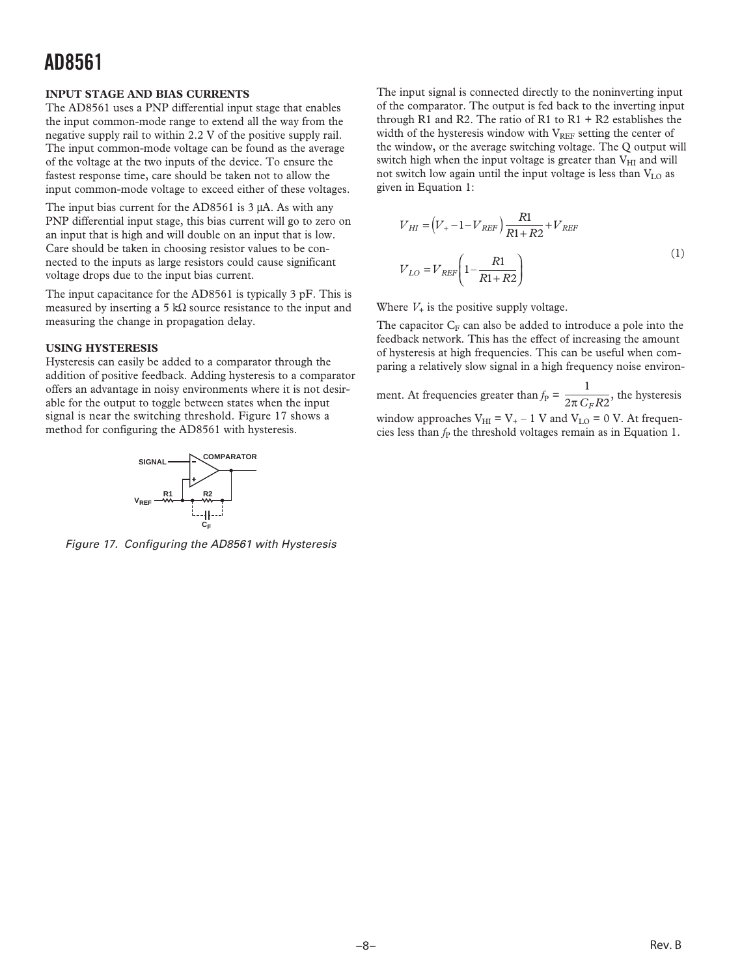#### **INPUT STAGE AND BIAS CURRENTS**

The AD8561 uses a PNP differential input stage that enables the input common-mode range to extend all the way from the negative supply rail to within 2.2 V of the positive supply rail. The input common-mode voltage can be found as the average of the voltage at the two inputs of the device. To ensure the fastest response time, care should be taken not to allow the input common-mode voltage to exceed either of these voltages.

The input bias current for the AD8561 is 3 μA. As with any PNP differential input stage, this bias current will go to zero on an input that is high and will double on an input that is low. Care should be taken in choosing resistor values to be connected to the inputs as large resistors could cause significant voltage drops due to the input bias current.

The input capacitance for the AD8561 is typically 3 pF. This is measured by inserting a 5 kΩ source resistance to the input and measuring the change in propagation delay.

#### **USING HYSTERESIS**

Hysteresis can easily be added to a comparator through the addition of positive feedback. Adding hysteresis to a comparator offers an advantage in noisy environments where it is not desirable for the output to toggle between states when the input signal is near the switching threshold. Figure 17 shows a method for configuring the AD8561 with hysteresis.



Figure 17. Configuring the AD8561 with Hysteresis

The input signal is connected directly to the noninverting input of the comparator. The output is fed back to the inverting input through R1 and R2. The ratio of R1 to  $R1 + R2$  establishes the width of the hysteresis window with  $V_{REF}$  setting the center of the window, or the average switching voltage. The Q output will switch high when the input voltage is greater than  $V_{HI}$  and will not switch low again until the input voltage is less than VLO as given in Equation 1:

$$
V_{HI} = (V_{+} - 1 - V_{REF}) \frac{R1}{R1 + R2} + V_{REF}
$$
  

$$
V_{LO} = V_{REF} \left(1 - \frac{R1}{R1 + R2}\right)
$$
 (1)

Where  $V_+$  is the positive supply voltage.

The capacitor  $C_F$  can also be added to introduce a pole into the feedback network. This has the effect of increasing the amount of hysteresis at high frequencies. This can be useful when comparing a relatively slow signal in a high frequency noise environ-

ment. At frequencies greater than  $f_P = \frac{1}{2\pi G_F R2}$ , the hysteresis window approaches  $V_{\text{HI}} = V_{+} - 1$  V and  $V_{\text{LO}} = 0$  V. At frequencies less than  $f<sub>P</sub>$  the threshold voltages remain as in Equation 1.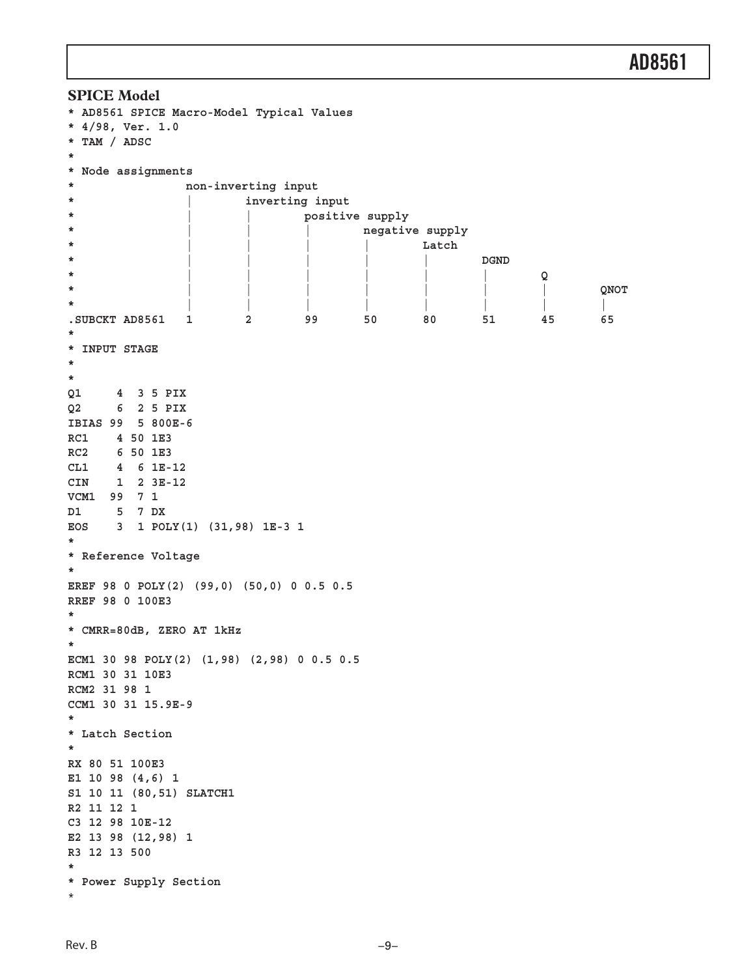```
AD8561
```

```
SPICE Model
* AD8561 SPICE Macro-Model Typical Values
* 4/98, Ver. 1.0
* TAM / ADSC
*
* Node assignments
* non-inverting input
* | inverting input
* | | positive supply
* | | | negative supply
* |||| Latch
* ||||| DGND
* ||||||Q
* ||||||| QNOT
* ||||||||
.SUBCKT AD8561 1 2 99 50 80 51 45 65
*
* INPUT STAGE
*
*
Q1 4 3 5 PIX
Q2 6 2 5 PIX
IBIAS 99 5 800E-6
RC1 4 50 1E3
RC2 6 50 1E3
CL1 4 6 1E-12
CIN 1 2 3E-12
VCM1 99 7 1
D1 5 7 DX
EOS 3 1 POLY(1) (31,98) 1E-3 1
*
* Reference Voltage
*
EREF 98 0 POLY(2) (99,0) (50,0) 0 0.5 0.5
RREF 98 0 100E3
*
* CMRR=80dB, ZERO AT 1kHz
*
ECM1 30 98 POLY(2) (1,98) (2,98) 0 0.5 0.5
RCM1 30 31 10E3
RCM2 31 98 1
CCM1 30 31 15.9E-9
*
* Latch Section
*
RX 80 51 100E3
E1 10 98 (4,6) 1
S1 10 11 (80,51) SLATCH1
R2 11 12 1
C3 12 98 10E-12
E2 13 98 (12,98) 1
R3 12 13 500
*
* Power Supply Section
*
```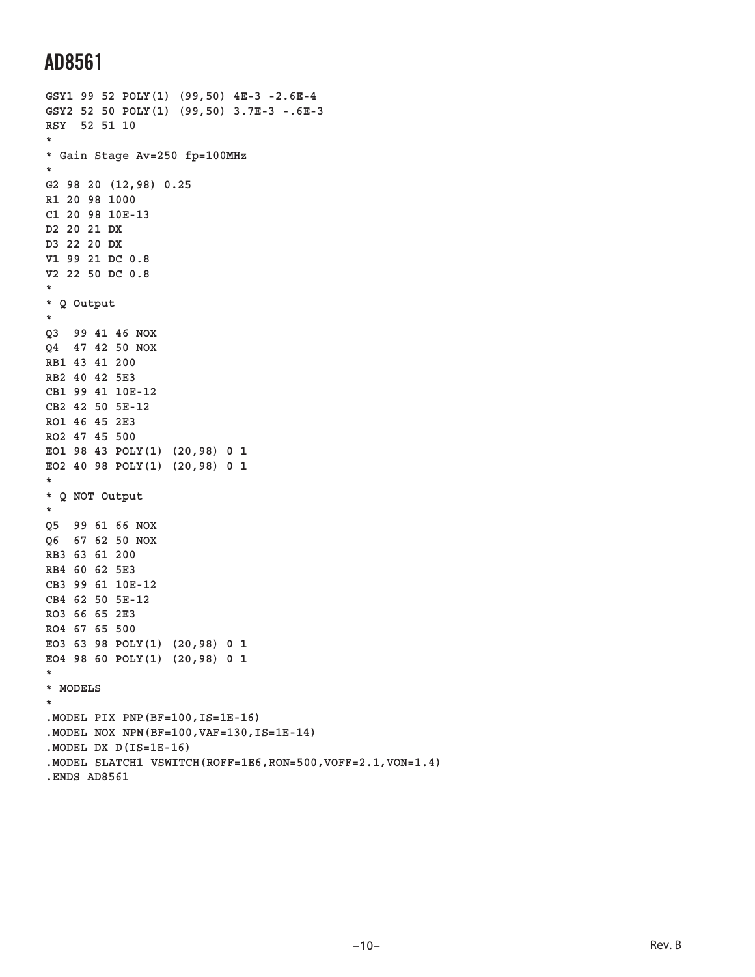```
GSY1 99 52 POLY(1) (99,50) 4E-3 -2.6E-4
GSY2 52 50 POLY(1) (99,50) 3.7E-3 -.6E-3
RSY 52 51 10
*
* Gain Stage Av=250 fp=100MHz
*
G2 98 20 (12,98) 0.25
R1 20 98 1000
C1 20 98 10E-13
D2 20 21 DX
D3 22 20 DX
V1 99 21 DC 0.8
V2 22 50 DC 0.8
*
* Q Output
*
Q3 99 41 46 NOX
Q4 47 42 50 NOX
RB1 43 41 200
RB2 40 42 5E3
CB1 99 41 10E-12
CB2 42 50 5E-12
RO1 46 45 2E3
RO2 47 45 500
EO1 98 43 POLY(1) (20,98) 0 1
EO2 40 98 POLY(1) (20,98) 0 1
*
* Q NOT Output
*
Q5 99 61 66 NOX
Q6 67 62 50 NOX
RB3 63 61 200
RB4 60 62 5E3
CB3 99 61 10E-12
CB4 62 50 5E-12
RO3 66 65 2E3
RO4 67 65 500
EO3 63 98 POLY(1) (20,98) 0 1
EO4 98 60 POLY(1) (20,98) 0 1
*
* MODELS
*
.MODEL PIX PNP(BF=100,IS=1E-16)
.MODEL NOX NPN(BF=100,VAF=130,IS=1E-14)
.MODEL DX D(IS=1E-16)
.MODEL SLATCH1 VSWITCH(ROFF=1E6,RON=500,VOFF=2.1,VON=1.4)
.ENDS AD8561
```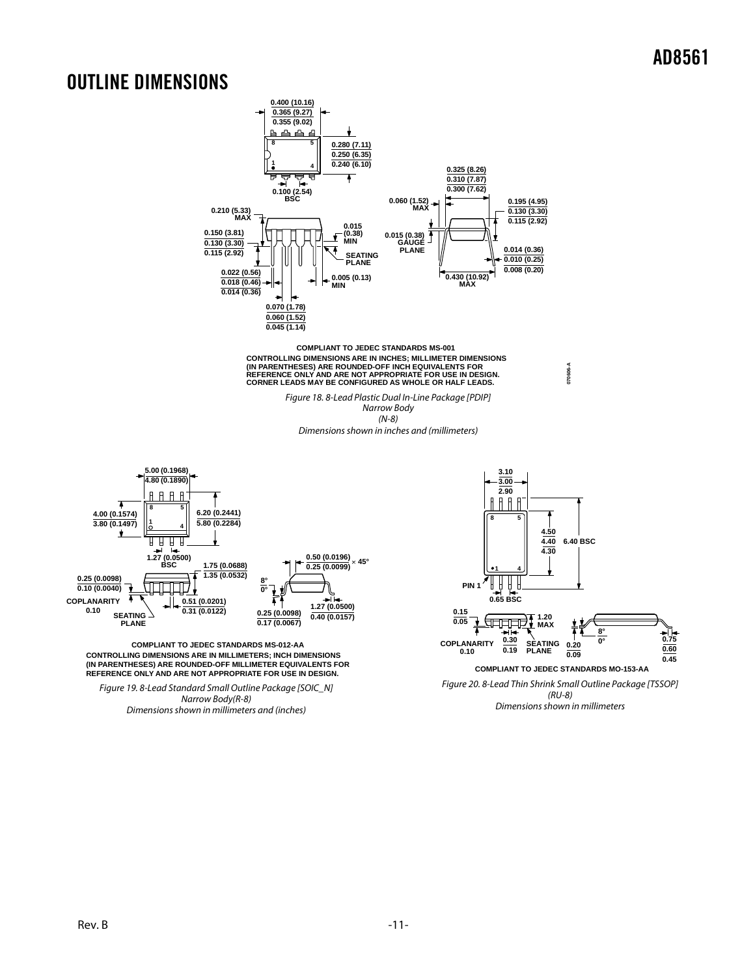### OUTLINE DIMENSIONS



**COMPLIANT TO JEDEC STANDARDS MS-001** CONTROLLING DIMENSIONS ARE IN INCHES; MILLIMETER DIMENSIONS<br>(IN PARENTHESES) ARE ROUNDED-OFF INCH EQUIVALENTS FOR<br>REFERENCE ONLY AND ARE NOT APPROPRIATE FOR USE IN DESIGN.<br>CORNER LEADS MAY BE CONFIGURED AS WHOLE OR HALF LE

> Figure 18. 8-Lead Plastic Dual In-Line Package [PDIP] Narrow Body (N-8) Dimensions shown in inches and (millimeters)



**CONTROLLING DIMENSIONS ARE IN MILLIMETERS; INCH DIMENSIONS (IN PARENTHESES) ARE ROUNDED-OFF MILLIMETER EQUIVALENTS FOR REFERENCE ONLY AND ARE NOT APPROPRIATE FOR USE IN DESIGN. COMPLIANT TO JEDEC STANDARDS MS-012-AA**

Figure 19. 8-Lead Standard Small Outline Package [SOIC\_N] Narrow Body(R-8) Dimensions shown in millimeters and (inches)



**070606-A**

(RU-8) Dimensions shown in millimeters